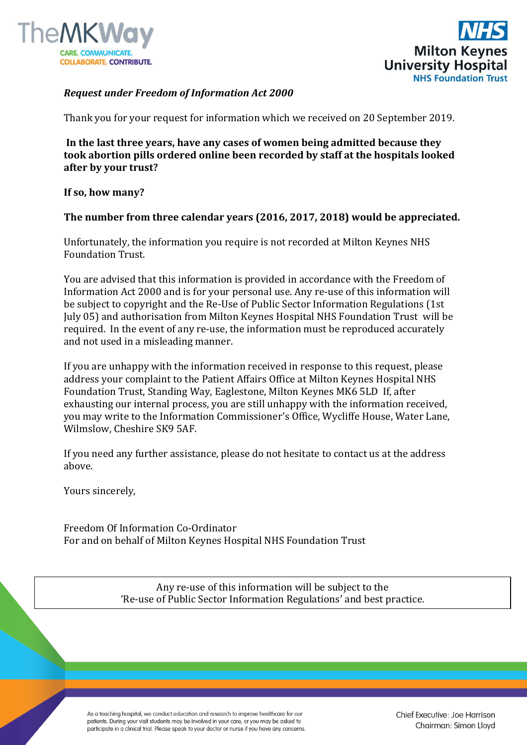



## *Request under Freedom of Information Act 2000*

Thank you for your request for information which we received on 20 September 2019.

**In the last three years, have any cases of women being admitted because they took abortion pills ordered online been recorded by staff at the hospitals looked after by your trust?**

## **If so, how many?**

## **The number from three calendar years (2016, 2017, 2018) would be appreciated.**

Unfortunately, the information you require is not recorded at Milton Keynes NHS Foundation Trust.

You are advised that this information is provided in accordance with the Freedom of Information Act 2000 and is for your personal use. Any re-use of this information will be subject to copyright and the Re-Use of Public Sector Information Regulations (1st July 05) and authorisation from Milton Keynes Hospital NHS Foundation Trust will be required. In the event of any re-use, the information must be reproduced accurately and not used in a misleading manner.

If you are unhappy with the information received in response to this request, please address your complaint to the Patient Affairs Office at Milton Keynes Hospital NHS Foundation Trust, Standing Way, Eaglestone, Milton Keynes MK6 5LD If, after exhausting our internal process, you are still unhappy with the information received, you may write to the Information Commissioner's Office, Wycliffe House, Water Lane, Wilmslow, Cheshire SK9 5AF.

If you need any further assistance, please do not hesitate to contact us at the address above.

Yours sincerely,

Freedom Of Information Co-Ordinator For and on behalf of Milton Keynes Hospital NHS Foundation Trust

> Any re-use of this information will be subject to the 'Re-use of Public Sector Information Regulations' and best practice.

As a teaching hospital, we conduct education and research to improve healthcare for our patients. During your visit students may be involved in your care, or you may be asked to participate in a clinical trial. Please speak to your doctor or nurse if you have any concerns. Chief Executive: Joe Harrison Chairman: Simon Lloyd